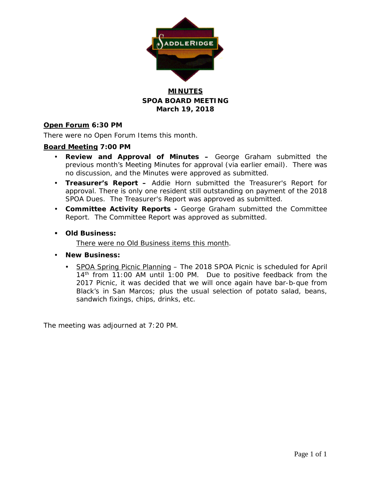

# **MINUTES SPOA BOARD MEETING March 19, 2018**

# **Open Forum 6:30 PM**

There were no Open Forum Items this month.

## **Board Meeting 7:00 PM**

- **Review and Approval of Minutes –** George Graham submitted the previous month's Meeting Minutes for approval (via earlier email). There was no discussion, and the Minutes were approved as submitted.
- **Treasurer's Report –** Addie Horn submitted the Treasurer's Report for approval. There is only one resident still outstanding on payment of the 2018 SPOA Dues. The Treasurer's Report was approved as submitted.
- **Committee Activity Reports -** George Graham submitted the Committee Report. The Committee Report was approved as submitted.
- **Old Business:**

There were no Old Business items this month.

- **New Business:**
	- SPOA Spring Picnic Planning The 2018 SPOA Picnic is scheduled for April 14<sup>th</sup> from 11:00 AM until 1:00 PM. Due to positive feedback from the 2017 Picnic, it was decided that we will once again have bar-b-que from Black's in San Marcos; plus the usual selection of potato salad, beans, sandwich fixings, chips, drinks, etc.

The meeting was adjourned at 7:20 PM.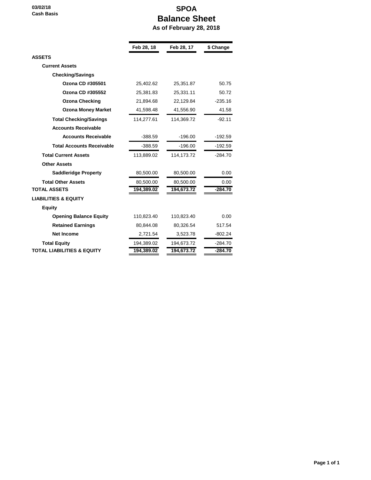**03/02/18 Cash Basis**

# **SPOA Balance Sheet As of February 28, 2018**

|                                       | Feb 28, 18 | Feb 28, 17   | \$ Change |
|---------------------------------------|------------|--------------|-----------|
| <b>ASSETS</b>                         |            |              |           |
| <b>Current Assets</b>                 |            |              |           |
| <b>Checking/Savings</b>               |            |              |           |
| Ozona CD #305501                      | 25,402.62  | 25,351.87    | 50.75     |
| Ozona CD #305552                      | 25,381.83  | 25,331.11    | 50.72     |
| <b>Ozona Checking</b>                 | 21,894.68  | 22,129.84    | $-235.16$ |
| <b>Ozona Money Market</b>             | 41.598.48  | 41,556.90    | 41.58     |
| <b>Total Checking/Savings</b>         | 114,277.61 | 114,369.72   | $-92.11$  |
| <b>Accounts Receivable</b>            |            |              |           |
| <b>Accounts Receivable</b>            | $-388.59$  | $-196.00$    | -192.59   |
| <b>Total Accounts Receivable</b>      | $-388.59$  | $-196.00$    | -192.59   |
| <b>Total Current Assets</b>           | 113,889.02 | 114, 173. 72 | $-284.70$ |
| <b>Other Assets</b>                   |            |              |           |
| <b>Saddleridge Property</b>           | 80,500.00  | 80,500.00    | 0.00      |
| <b>Total Other Assets</b>             | 80,500.00  | 80,500.00    | 0.00      |
| <b>TOTAL ASSETS</b>                   | 194,389.02 | 194,673.72   | $-284.70$ |
| <b>LIABILITIES &amp; EQUITY</b>       |            |              |           |
| <b>Equity</b>                         |            |              |           |
| <b>Opening Balance Equity</b>         | 110,823.40 | 110,823.40   | 0.00      |
| <b>Retained Earnings</b>              | 80,844.08  | 80,326.54    | 517.54    |
| <b>Net Income</b>                     | 2,721.54   | 3,523.78     | $-802.24$ |
| <b>Total Equity</b>                   | 194,389.02 | 194,673.72   | $-284.70$ |
| <b>TOTAL LIABILITIES &amp; EQUITY</b> | 194,389.02 | 194,673.72   | $-284.70$ |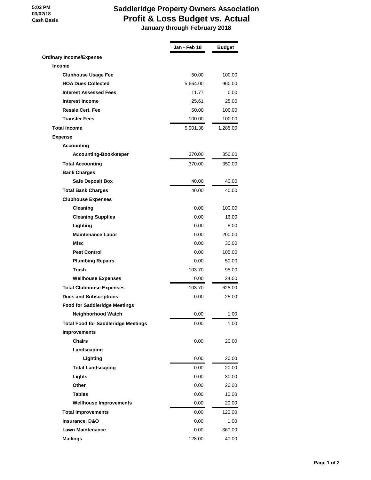#### **5:02 PM 03/02/18 Cash Basis**

# **Saddleridge Property Owners Association Profit & Loss Budget vs. Actual**

 **January through February 2018**

|                                            | Jan - Feb 18 | <b>Budget</b> |
|--------------------------------------------|--------------|---------------|
| <b>Ordinary Income/Expense</b>             |              |               |
| <b>Income</b>                              |              |               |
| <b>Clubhouse Usage Fee</b>                 | 50.00        | 100.00        |
| <b>HOA Dues Collected</b>                  | 5,664.00     | 960.00        |
| <b>Interest Assessed Fees</b>              | 11.77        | 0.00          |
| <b>Interest Income</b>                     | 25.61        | 25.00         |
| <b>Resale Cert. Fee</b>                    | 50.00        | 100.00        |
| <b>Transfer Fees</b>                       | 100.00       | 100.00        |
| <b>Total Income</b>                        | 5,901.38     | 1,285.00      |
| <b>Expense</b>                             |              |               |
| <b>Accounting</b>                          |              |               |
| <b>Accounting-Bookkeeper</b>               | 370.00       | 350.00        |
| <b>Total Accounting</b>                    | 370.00       | 350.00        |
| <b>Bank Charges</b>                        |              |               |
| <b>Safe Deposit Box</b>                    | 40.00        | 40.00         |
| <b>Total Bank Charges</b>                  | 40.00        | 40.00         |
| <b>Clubhouse Expenses</b>                  |              |               |
| Cleaning                                   | 0.00         | 100.00        |
| <b>Cleaning Supplies</b>                   | 0.00         | 16.00         |
| Lighting                                   | 0.00         | 8.00          |
| <b>Maintenance Labor</b>                   | 0.00         | 200.00        |
| Misc                                       | 0.00         | 30.00         |
| <b>Pest Control</b>                        | 0.00         | 105.00        |
| <b>Plumbing Repairs</b>                    | 0.00         | 50.00         |
| <b>Trash</b>                               | 103.70       | 95.00         |
| <b>Wellhouse Expenses</b>                  | 0.00         | 24.00         |
| <b>Total Clubhouse Expenses</b>            | 103.70       | 628.00        |
| <b>Dues and Subscriptions</b>              | 0.00         | 25.00         |
| <b>Food for Saddleridge Meetings</b>       |              |               |
| Neighborhood Watch                         | 0.00         | 1.00          |
| <b>Total Food for Saddleridge Meetings</b> | 0.00         | 1.00          |
| <b>Improvements</b>                        |              |               |
| <b>Chairs</b>                              | 0.00         | 20.00         |
| Landscaping                                |              |               |
| Lighting                                   | 0.00         | 20.00         |
| <b>Total Landscaping</b>                   | 0.00         | 20.00         |
| Lights                                     | 0.00         | 30.00         |
| Other                                      | 0.00         | 20.00         |
| <b>Tables</b>                              | 0.00         | 10.00         |
| <b>Wellhouse Improvements</b>              | 0.00         | 20.00         |
| <b>Total Improvements</b>                  | 0.00         | 120.00        |
| Insurance, D&O                             | 0.00         | 1.00          |
| <b>Lawn Maintenance</b>                    | 0.00         | 360.00        |
| <b>Mailings</b>                            | 128.00       | 40.00         |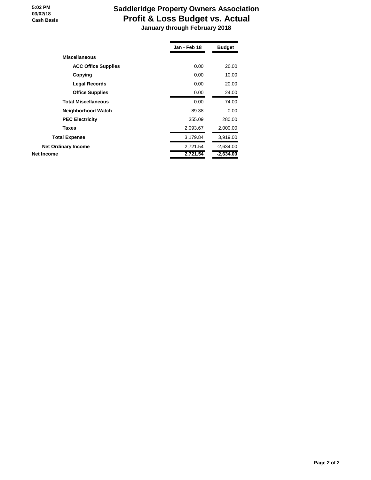#### **5:02 PM 03/02/18 Cash Basis**

# **Saddleridge Property Owners Association Profit & Loss Budget vs. Actual January through February 2018**

|                            | Jan - Feb 18 | <b>Budget</b> |
|----------------------------|--------------|---------------|
| <b>Miscellaneous</b>       |              |               |
| <b>ACC Office Supplies</b> | 0.00         | 20.00         |
| Copying                    | 0.00         | 10.00         |
| <b>Legal Records</b>       | 0.00         | 20.00         |
| <b>Office Supplies</b>     | 0.00         | 24.00         |
| <b>Total Miscellaneous</b> | 0.00         | 74.00         |
| Neighborhood Watch         | 89.38        | 0.00          |
| <b>PEC Electricity</b>     | 355.09       | 280.00        |
| <b>Taxes</b>               | 2,093.67     | 2,000.00      |
| <b>Total Expense</b>       | 3,179.84     | 3,919.00      |
| <b>Net Ordinary Income</b> | 2,721.54     | $-2,634.00$   |
| Net Income                 | 2,721.54     | $-2,634.00$   |